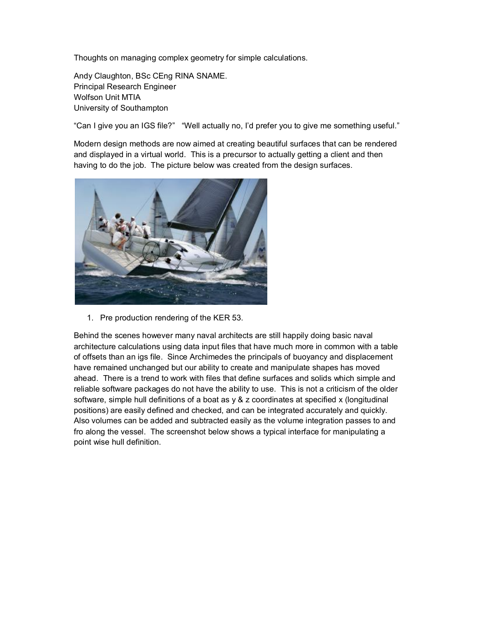Thoughts on managing complex geometry for simple calculations.

Andy Claughton, BSc CEng RINA SNAME. Principal Research Engineer Wolfson Unit MTIA University of Southampton

"Can I give you an IGS file?" "Well actually no, I'd prefer you to give me something useful."

Modern design methods are now aimed at creating beautiful surfaces that can be rendered and displayed in a virtual world. This is a precursor to actually getting a client and then having to do the job. The picture below was created from the design surfaces.



1. Pre production rendering of the KER 53.

Behind the scenes however many naval architects are still happily doing basic naval architecture calculations using data input files that have much more in common with a table of offsets than an igs file. Since Archimedes the principals of buoyancy and displacement have remained unchanged but our ability to create and manipulate shapes has moved ahead. There is a trend to work with files that define surfaces and solids which simple and reliable software packages do not have the ability to use. This is not a criticism of the older software, simple hull definitions of a boat as y & z coordinates at specified x (longitudinal positions) are easily defined and checked, and can be integrated accurately and quickly. Also volumes can be added and subtracted easily as the volume integration passes to and fro along the vessel. The screenshot below shows a typical interface for manipulating a point wise hull definition.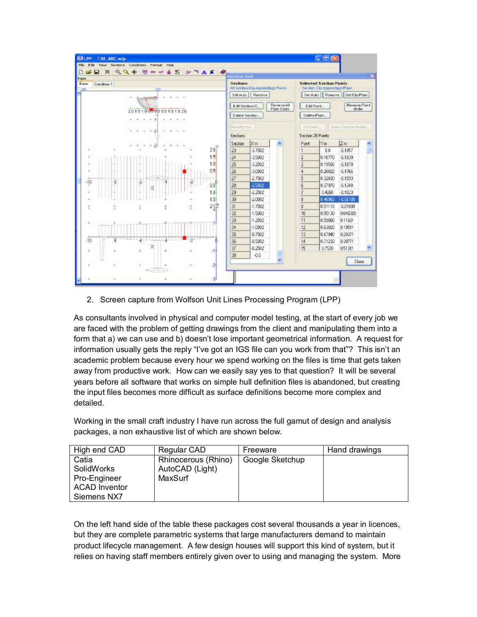| <b>CONGATIVES AND AND BULLET AND ALL AND AND ADDRESS</b><br>Triple<br>Base<br>Condition 1<br><b>COLOR</b> |   |                   |          |              |                    | Sections<br>All Section Clo Appendage Points<br>Set Auto<br>Remove<br>Reverse All<br>Edit Section X.<br>Point Dader<br>Delete Seotion |                                   |  | <b>Selected Section Points</b><br>Seolian Ello Appendage Point<br>Set Auto    Rewove<br>Set Clo Point<br><b>Baverze Point</b><br>Edit Point<br><b>Dider</b><br>Delete Point. |         |              |  |
|-----------------------------------------------------------------------------------------------------------|---|-------------------|----------|--------------|--------------------|---------------------------------------------------------------------------------------------------------------------------------------|-----------------------------------|--|------------------------------------------------------------------------------------------------------------------------------------------------------------------------------|---------|--------------|--|
|                                                                                                           |   |                   |          |              |                    |                                                                                                                                       |                                   |  |                                                                                                                                                                              |         |              |  |
|                                                                                                           |   |                   |          |              | 201510000005101520 |                                                                                                                                       |                                   |  |                                                                                                                                                                              |         |              |  |
|                                                                                                           |   | $+ -11$<br>÷      |          |              |                    |                                                                                                                                       |                                   |  |                                                                                                                                                                              |         |              |  |
|                                                                                                           |   |                   |          | Field Entry. |                    |                                                                                                                                       | Fix Enors. Elsow Section Einstit. |  |                                                                                                                                                                              |         |              |  |
|                                                                                                           |   | $+21$<br>$\Delta$ | - 4      |              |                    | Sections                                                                                                                              |                                   |  | Section 28 Points                                                                                                                                                            |         |              |  |
|                                                                                                           |   |                   |          |              |                    | Section-                                                                                                                              | $\mathbb{K}$ m                    |  | Port                                                                                                                                                                         | lYm.    | Zm           |  |
|                                                                                                           |   |                   |          |              | 20 <sup>2</sup>    | 23                                                                                                                                    | $-3.7502$                         |  |                                                                                                                                                                              | ũũ      | $-0.1957$    |  |
|                                                                                                           |   |                   |          |              | 1.5                | 24                                                                                                                                    | $-3.5002$                         |  | 2                                                                                                                                                                            | 0.10770 | $-0.1939$    |  |
|                                                                                                           |   |                   |          |              | 1.0 <sub>1</sub>   | 25                                                                                                                                    | $-3.2502$                         |  | э                                                                                                                                                                            | 0.19590 | $-0.1878$    |  |
|                                                                                                           |   |                   |          |              | 0.5                | 26                                                                                                                                    | $-3.0002$                         |  | 4                                                                                                                                                                            | 0.26920 | $-0.1766$    |  |
|                                                                                                           |   |                   |          |              |                    | 27                                                                                                                                    | $-2.7502$                         |  | $\overline{5}$                                                                                                                                                               | 0.32930 | $-0.1593$    |  |
| $-10$                                                                                                     | ą | 項<br>文            | а        | ą            | 0.5                | 28                                                                                                                                    | 2,5002                            |  | £                                                                                                                                                                            | 0.37970 | $-0.1348$    |  |
|                                                                                                           |   |                   |          |              | 1.0                | 29                                                                                                                                    | 22502                             |  | 7                                                                                                                                                                            | 0.4290  | $-0.1023$    |  |
|                                                                                                           |   |                   |          |              | $1.5 -$            | 30                                                                                                                                    | $-2.0002$                         |  | $\overline{8}$                                                                                                                                                               | 0.46960 | -0.06109     |  |
|                                                                                                           |   |                   |          |              | 237                | 31                                                                                                                                    | $-1.7502$                         |  | 9                                                                                                                                                                            | 0.51110 | $-0.01099$   |  |
|                                                                                                           |   |                   |          |              |                    | 32                                                                                                                                    | $-1.5002$                         |  | 10                                                                                                                                                                           | 0.55130 | 0.048309     |  |
|                                                                                                           |   |                   |          |              |                    | 33                                                                                                                                    | $-1.2502$                         |  | 11                                                                                                                                                                           | 0.59080 | 0.11691      |  |
|                                                                                                           |   |                   |          |              |                    | 34                                                                                                                                    | $-1.0002$                         |  | 12                                                                                                                                                                           | 0.63020 | 0.19511      |  |
|                                                                                                           |   |                   |          |              |                    | 35                                                                                                                                    | $-0.7502$                         |  | 13                                                                                                                                                                           | 0.67040 | 0.28371      |  |
| $-10$                                                                                                     | ₩ |                   | $\cdots$ | $-2$         |                    | 36                                                                                                                                    | $-0.5002$                         |  | 14                                                                                                                                                                           | 0.71230 | 0.39771      |  |
|                                                                                                           |   |                   |          |              | $-1+$              | 37                                                                                                                                    | 0.2502                            |  | 15                                                                                                                                                                           | 0.7570  | 0.51311      |  |
|                                                                                                           |   |                   |          |              |                    | 38                                                                                                                                    | $-0.0$                            |  |                                                                                                                                                                              |         |              |  |
|                                                                                                           |   |                   |          |              | 긤                  |                                                                                                                                       |                                   |  |                                                                                                                                                                              |         | <b>Close</b> |  |

2. Screen capture from Wolfson Unit Lines Processing Program (LPP)

As consultants involved in physical and computer model testing, at the start of every job we are faced with the problem of getting drawings from the client and manipulating them into a form that a) we can use and b) doesn't lose important geometrical information. A request for information usually gets the reply "I've got an IGS file can you work from that"? This isn't an academic problem because every hour we spend working on the files is time that gets taken away from productive work. How can we easily say yes to that question? It will be several years before all software that works on simple hull definition files is abandoned, but creating the input files becomes more difficult as surface definitions become more complex and detailed.

Working in the small craft industry I have run across the full gamut of design and analysis packages, a non exhaustive list of which are shown below.

| High end CAD         | Regular CAD         | Freeware        | Hand drawings |
|----------------------|---------------------|-----------------|---------------|
| Catia                | Rhinocerous (Rhino) | Google Sketchup |               |
| SolidWorks           | AutoCAD (Light)     |                 |               |
| Pro-Engineer         | MaxSurf             |                 |               |
| <b>ACAD Inventor</b> |                     |                 |               |
| Siemens NX7          |                     |                 |               |

On the left hand side of the table these packages cost several thousands a year in licences, but they are complete parametric systems that large manufacturers demand to maintain product lifecycle management. A few design houses will support this kind of system, but it relies on having staff members entirely given over to using and managing the system. More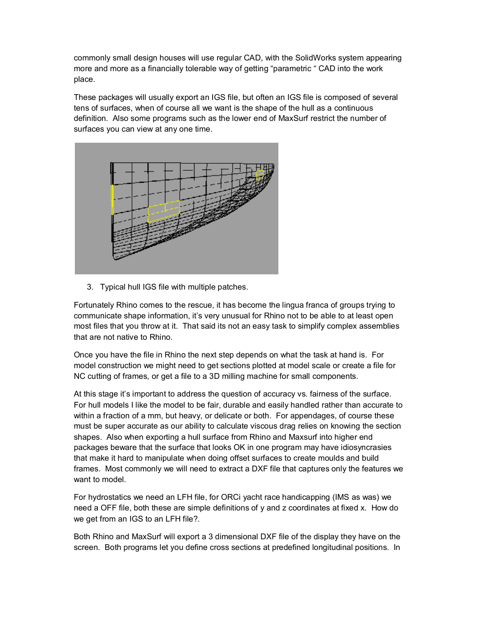commonly small design houses will use regular CAD, with the SolidWorks system appearing more and more as a financially tolerable way of getting "parametric " CAD into the work place.

These packages will usually export an IGS file, but often an IGS file is composed of several tens of surfaces, when of course all we want is the shape of the hull as a continuous definition. Also some programs such as the lower end of MaxSurf restrict the number of surfaces you can view at any one time.



3. Typical hull IGS file with multiple patches.

Fortunately Rhino comes to the rescue, it has become the lingua franca of groups trying to communicate shape information, it's very unusual for Rhino not to be able to at least open most files that you throw at it. That said its not an easy task to simplify complex assemblies that are not native to Rhino.

Once you have the file in Rhino the next step depends on what the task at hand is. For model construction we might need to get sections plotted at model scale or create a file for NC cutting of frames, or get a file to a 3D milling machine for small components.

At this stage it's important to address the question of accuracy vs. fairness of the surface. For hull models I like the model to be fair, durable and easily handled rather than accurate to within a fraction of a mm, but heavy, or delicate or both. For appendages, of course these must be super accurate as our ability to calculate viscous drag relies on knowing the section shapes. Also when exporting a hull surface from Rhino and Maxsurf into higher end packages beware that the surface that looks OK in one program may have idiosyncrasies that make it hard to manipulate when doing offset surfaces to create moulds and build frames. Most commonly we will need to extract a DXF file that captures only the features we want to model.

For hydrostatics we need an LFH file, for ORCi yacht race handicapping (IMS as was) we need a OFF file, both these are simple definitions of y and z coordinates at fixed x. How do we get from an IGS to an LFH file?.

Both Rhino and MaxSurf will export a 3 dimensional DXF file of the display they have on the screen. Both programs let you define cross sections at predefined longitudinal positions. In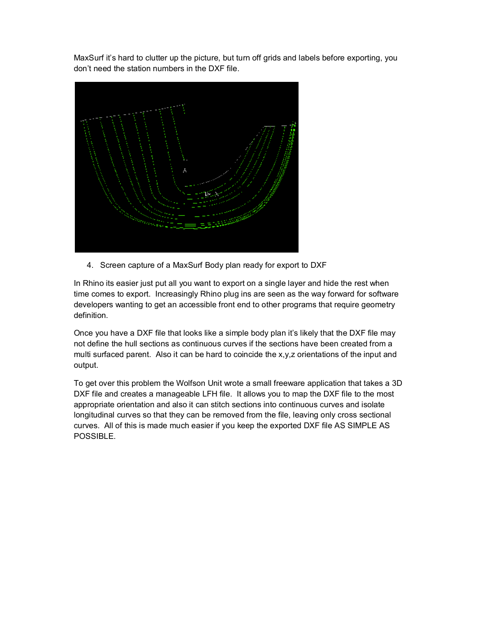MaxSurf it's hard to clutter up the picture, but turn off grids and labels before exporting, you don't need the station numbers in the DXF file.



4. Screen capture of a MaxSurf Body plan ready for export to DXF

In Rhino its easier just put all you want to export on a single layer and hide the rest when time comes to export. Increasingly Rhino plug ins are seen as the way forward for software developers wanting to get an accessible front end to other programs that require geometry definition.

Once you have a DXF file that looks like a simple body plan it's likely that the DXF file may not define the hull sections as continuous curves if the sections have been created from a multi surfaced parent. Also it can be hard to coincide the x,y,z orientations of the input and output.

To get over this problem the Wolfson Unit wrote a small freeware application that takes a 3D DXF file and creates a manageable LFH file. It allows you to map the DXF file to the most appropriate orientation and also it can stitch sections into continuous curves and isolate longitudinal curves so that they can be removed from the file, leaving only cross sectional curves. All of this is made much easier if you keep the exported DXF file AS SIMPLE AS POSSIBLE.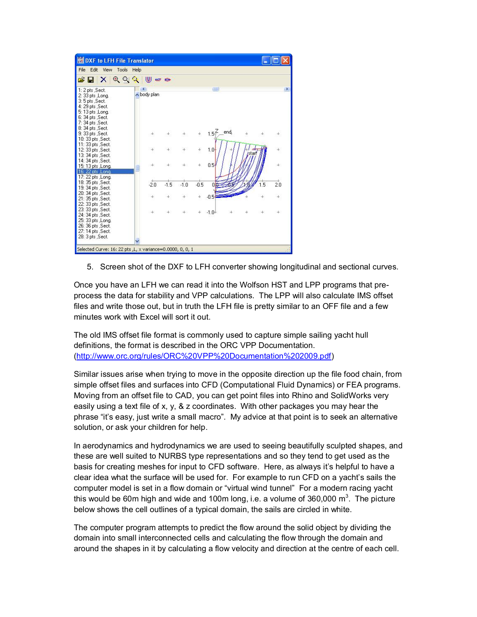

5. Screen shot of the DXF to LFH converter showing longitudinal and sectional curves.

Once you have an LFH we can read it into the Wolfson HST and LPP programs that preprocess the data for stability and VPP calculations. The LPP will also calculate IMS offset files and write those out, but in truth the LFH file is pretty similar to an OFF file and a few minutes work with Excel will sort it out.

The old IMS offset file format is commonly used to capture simple sailing yacht hull definitions, the format is described in the ORC VPP Documentation. [\(http://www.orc.org/rules/ORC%20VPP%20Documentation%202009.pdf\)](http://www.orc.org/rules/ORC%20VPP%20Documentation%202009.pdf)

Similar issues arise when trying to move in the opposite direction up the file food chain, from simple offset files and surfaces into CFD (Computational Fluid Dynamics) or FEA programs. Moving from an offset file to CAD, you can get point files into Rhino and SolidWorks very easily using a text file of x, y, & z coordinates. With other packages you may hear the phrase "it's easy, just write a small macro". My advice at that point is to seek an alternative solution, or ask your children for help.

In aerodynamics and hydrodynamics we are used to seeing beautifully sculpted shapes, and these are well suited to NURBS type representations and so they tend to get used as the basis for creating meshes for input to CFD software. Here, as always it's helpful to have a clear idea what the surface will be used for. For example to run CFD on a yacht's sails the computer model is set in a flow domain or "virtual wind tunnel" For a modern racing yacht this would be 60m high and wide and 100m long, i.e. a volume of 360,000 m<sup>3</sup>. The picture below shows the cell outlines of a typical domain, the sails are circled in white.

The computer program attempts to predict the flow around the solid object by dividing the domain into small interconnected cells and calculating the flow through the domain and around the shapes in it by calculating a flow velocity and direction at the centre of each cell.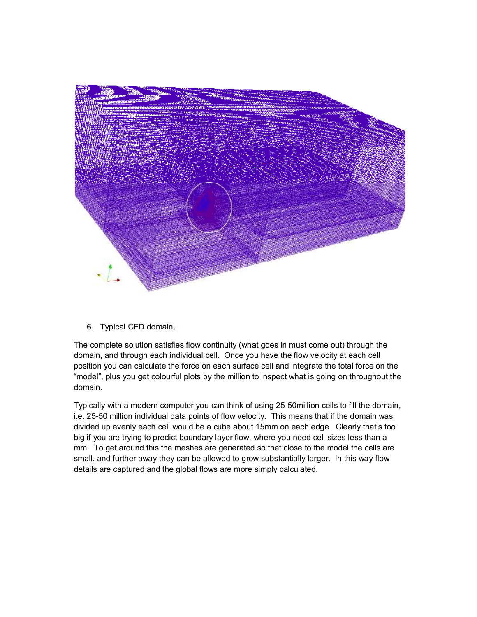

6. Typical CFD domain.

The complete solution satisfies flow continuity (what goes in must come out) through the domain, and through each individual cell. Once you have the flow velocity at each cell position you can calculate the force on each surface cell and integrate the total force on the "model", plus you get colourful plots by the million to inspect what is going on throughout the domain.

Typically with a modern computer you can think of using 25-50million cells to fill the domain, i.e. 25-50 million individual data points of flow velocity. This means that if the domain was divided up evenly each cell would be a cube about 15mm on each edge. Clearly that's too big if you are trying to predict boundary layer flow, where you need cell sizes less than a mm. To get around this the meshes are generated so that close to the model the cells are small, and further away they can be allowed to grow substantially larger. In this way flow details are captured and the global flows are more simply calculated.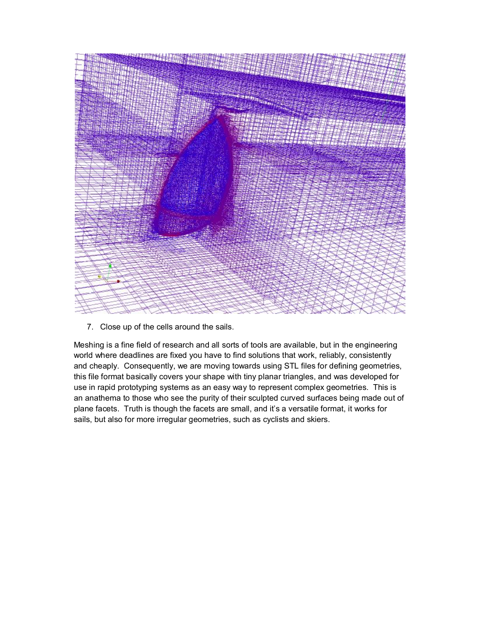

7. Close up of the cells around the sails.

Meshing is a fine field of research and all sorts of tools are available, but in the engineering world where deadlines are fixed you have to find solutions that work, reliably, consistently and cheaply. Consequently, we are moving towards using STL files for defining geometries, this file format basically covers your shape with tiny planar triangles, and was developed for use in rapid prototyping systems as an easy way to represent complex geometries. This is an anathema to those who see the purity of their sculpted curved surfaces being made out of plane facets. Truth is though the facets are small, and it's a versatile format, it works for sails, but also for more irregular geometries, such as cyclists and skiers.